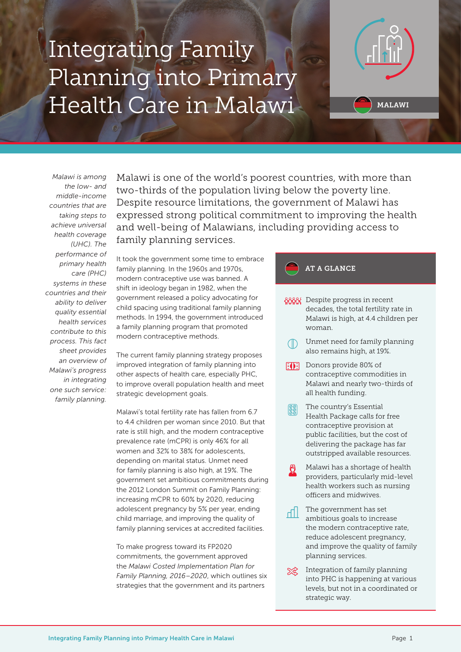# Integrating Family Planning into Primary Health Care in Malawi



*Malawi is among the low- and middle-income countries that are taking steps to achieve universal health coverage (UHC). The performance of primary health care (PHC) systems in these countries and their ability to deliver quality essential health services contribute to this process. This fact sheet provides an overview of Malawi's progress in integrating one such service: family planning.*

Malawi is one of the world's poorest countries, with more than two-thirds of the population living below the poverty line. Despite resource limitations, the government of Malawi has expressed strong political commitment to improving the health and well-being of Malawians, including providing access to family planning services.

It took the government some time to embrace family planning. In the 1960s and 1970s, modern contraceptive use was banned. A shift in ideology began in 1982, when the government released a policy advocating for child spacing using traditional family planning methods. In 1994, the government introduced a family planning program that promoted modern contraceptive methods.

The current family planning strategy proposes improved integration of family planning into other aspects of health care, especially PHC, to improve overall population health and meet strategic development goals.

Malawi's total fertility rate has fallen from 6.7 to 4.4 children per woman since 2010. But that rate is still high, and the modern contraceptive prevalence rate (mCPR) is only 46% for all women and 32% to 38% for adolescents, depending on marital status. Unmet need for family planning is also high, at 19%. The government set ambitious commitments during the 2012 London Summit on Family Planning: increasing mCPR to 60% by 2020, reducing adolescent pregnancy by 5% per year, ending child marriage, and improving the quality of family planning services at accredited facilities.

To make progress toward its FP2020 commitments, the government approved the *Malawi Costed Implementation Plan for Family Planning, 2016–2020*, which outlines six strategies that the government and its partners

### AT A GLANCE

- **AAAA** Despite progress in recent decades, the total fertility rate in Malawi is high, at 4.4 children per woman.
	- Unmet need for family planning also remains high, at 19%.
- **Donors provide 80% of** contraceptive commodities in Malawi and nearly two-thirds of all health funding.
- The country's Essential ဖြစ္ခဲ Health Package calls for free contraceptive provision at public facilities, but the cost of delivering the package has far outstripped available resources.
- Malawi has a shortage of health providers, particularly mid-level health workers such as nursing officers and midwives.
- The government has set d۱ ambitious goals to increase the modern contraceptive rate, reduce adolescent pregnancy, and improve the quality of family planning services.
- Integration of family planning স্≪ into PHC is happening at various levels, but not in a coordinated or strategic way.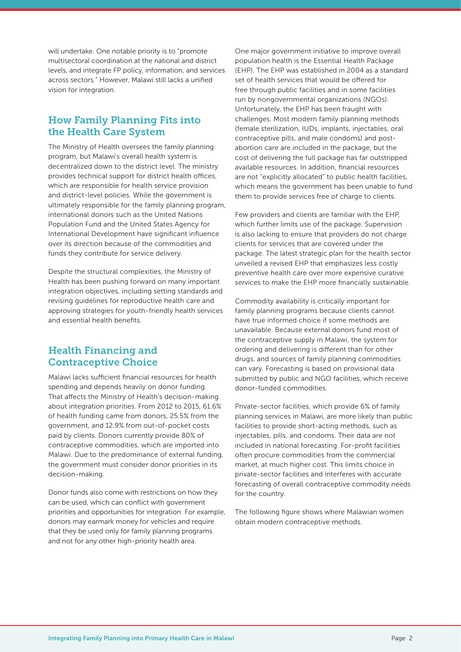will undertake. One notable priority is to "promote multisectoral coordination at the national and district levels, and integrate FP policy, information, and services across sectors." However, Malawi still lacks a unified vision for integration.

## How Family Planning Fits into the Health Care System

The Ministry of Health oversees the family planning program, but Malawi's overall health system is decentralized down to the district level. The ministry provides technical support for district health offices, which are responsible for health service provision and district-level policies. While the government is ultimately responsible for the family planning program, international donors such as the United Nations Population Fund and the United States Agency for International Development have significant influence over its direction because of the commodities and funds they contribute for service delivery.

Despite the structural complexities, the Ministry of Health has been pushing forward on many important integration objectives, including setting standards and revising guidelines for reproductive health care and approving strategies for youth-friendly health services and essential health benefits.

## Health Financing and Contraceptive Choice

Malawi lacks sufficient financial resources for health spending and depends heavily on donor funding. That affects the Ministry of Health's decision-making about integration priorities. From 2012 to 2015, 61.6% of health funding came from donors, 25.5% from the government, and 12.9% from out-of-pocket costs paid by clients. Donors currently provide 80% of contraceptive commodities, which are imported into Malawi. Due to the predominance of external funding, the government must consider donor priorities in its decision-making.

Donor funds also come with restrictions on how they can be used, which can conflict with government priorities and opportunities for integration. For example, donors may earmark money for vehicles and require that they be used only for family planning programs and not for any other high-priority health area.

One major government initiative to improve overall population health is the Essential Health Package (EHP). The EHP was established in 2004 as a standard set of health services that would be offered for free through public facilities and in some facilities run by nongovernmental organizations (NGOs). Unfortunately, the EHP has been fraught with challenges. Most modern family planning methods (female sterilization, IUDs, implants, injectables, oral contraceptive pills, and male condoms) and postabortion care are included in the package, but the cost of delivering the full package has far outstripped available resources. In addition, financial resources are not "explicitly allocated" to public health facilities, which means the government has been unable to fund them to provide services free of charge to clients.

Few providers and clients are familiar with the EHP, which further limits use of the package. Supervision is also lacking to ensure that providers do not charge clients for services that are covered under the package. The latest strategic plan for the health sector unveiled a revised EHP that emphasizes less costly preventive health care over more expensive curative services to make the EHP more financially sustainable.

Commodity availability is critically important for family planning programs because clients cannot have true informed choice if some methods are unavailable. Because external donors fund most of the contraceptive supply in Malawi, the system for ordering and delivering is different than for other drugs, and sources of family planning commodities can vary. Forecasting is based on provisional data submitted by public and NGO facilities, which receive donor-funded commodities.

Private-sector facilities, which provide 6% of family planning services in Malawi, are more likely than public facilities to provide short-acting methods, such as injectables, pills, and condoms. Their data are not included in national forecasting. For-profit facilities often procure commodities from the commercial market, at much higher cost. This limits choice in private-sector facilities and interferes with accurate forecasting of overall contraceptive commodity needs for the country.

The following figure shows where Malawian women obtain modern contraceptive methods.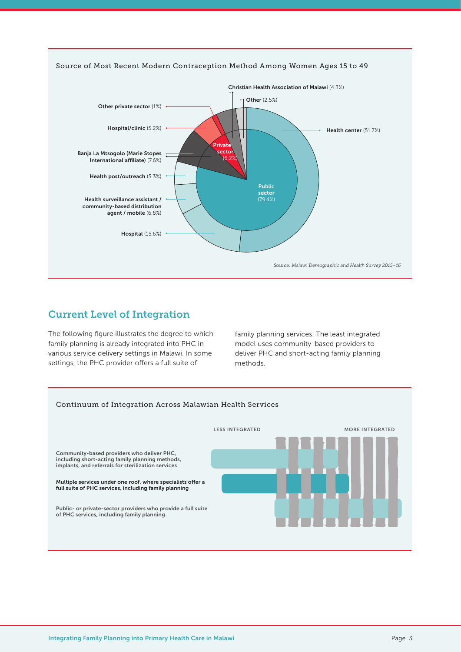

## Current Level of Integration

The following figure illustrates the degree to which family planning is already integrated into PHC in various service delivery settings in Malawi. In some settings, the PHC provider offers a full suite of

family planning services. The least integrated model uses community-based providers to deliver PHC and short-acting family planning methods.